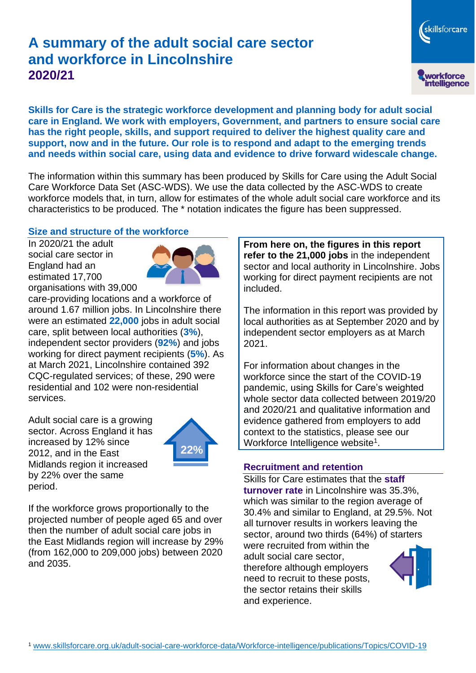# **A summary of the adult social care sector and workforce in Lincolnshire 2020/21**

**Skills for Care is the strategic workforce development and planning body for adult social care in England. We work with employers, Government, and partners to ensure social care has the right people, skills, and support required to deliver the highest quality care and support, now and in the future. Our role is to respond and adapt to the emerging trends and needs within social care, using data and evidence to drive forward widescale change.**

The information within this summary has been produced by Skills for Care using the Adult Social Care Workforce Data Set (ASC-WDS). We use the data collected by the ASC-WDS to create workforce models that, in turn, allow for estimates of the whole adult social care workforce and its characteristics to be produced. The \* notation indicates the figure has been suppressed.

### **Size and structure of the workforce**

In 2020/21 the adult social care sector in England had an estimated 17,700 organisations with 39,000



care-providing locations and a workforce of around 1.67 million jobs. In Lincolnshire there were an estimated **22,000** jobs in adult social care, split between local authorities (**3%**), independent sector providers (**92%**) and jobs working for direct payment recipients (**5%**). As at March 2021, Lincolnshire contained 392 CQC-regulated services; of these, 290 were residential and 102 were non-residential services.

Adult social care is a growing sector. Across England it has increased by 12% since 2012, and in the East Midlands region it increased by 22% over the same period.



If the workforce grows proportionally to the projected number of people aged 65 and over then the number of adult social care jobs in the East Midlands region will increase by 29% (from 162,000 to 209,000 jobs) between 2020 and 2035.

**From here on, the figures in this report refer to the 21,000 jobs** in the independent sector and local authority in Lincolnshire. Jobs working for direct payment recipients are not included.

The information in this report was provided by local authorities as at September 2020 and by independent sector employers as at March 2021.

For information about changes in the workforce since the start of the COVID-19 pandemic, using Skills for Care's weighted whole sector data collected between 2019/20 and 2020/21 and qualitative information and evidence gathered from employers to add context to the statistics, please see our Workforce Intelligence website<sup>1</sup>.

#### **Recruitment and retention**

Skills for Care estimates that the **staff turnover rate** in Lincolnshire was 35.3%, which was similar to the region average of 30.4% and similar to England, at 29.5%. Not all turnover results in workers leaving the sector, around two thirds (64%) of starters were recruited from within the

adult social care sector, therefore although employers need to recruit to these posts, the sector retains their skills and experience.



skillsforcare

workforce<br>intelligence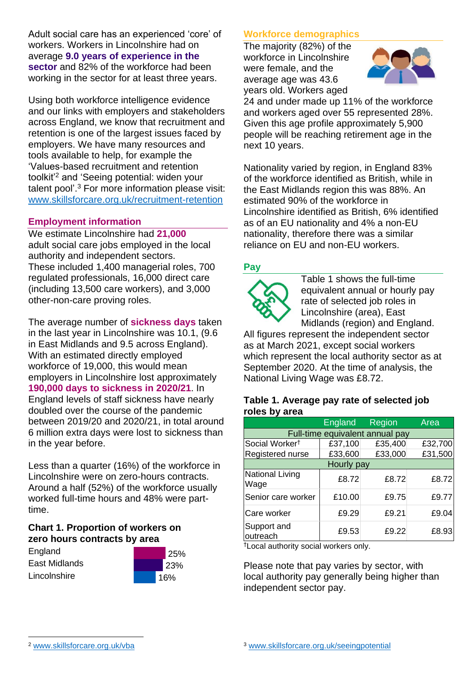Adult social care has an experienced 'core' of workers. Workers in Lincolnshire had on average **9.0 years of experience in the sector** and 82% of the workforce had been working in the sector for at least three years.

Using both workforce intelligence evidence and our links with employers and stakeholders across England, we know that recruitment and retention is one of the largest issues faced by employers. We have many resources and tools available to help, for example the 'Values-based recruitment and retention toolkit'<sup>2</sup> and 'Seeing potential: widen your talent pool'. <sup>3</sup> For more information please visit: [www.skillsforcare.org.uk/recruitment-retention](http://www.skillsforcare.org.uk/recruitment-retention)

### **Employment information**

We estimate Lincolnshire had **21,000** adult social care jobs employed in the local authority and independent sectors. These included 1,400 managerial roles, 700 regulated professionals, 16,000 direct care (including 13,500 care workers), and 3,000 other-non-care proving roles.

The average number of **sickness days** taken in the last year in Lincolnshire was 10.1, (9.6 in East Midlands and 9.5 across England). With an estimated directly employed workforce of 19,000, this would mean employers in Lincolnshire lost approximately **190,000 days to sickness in 2020/21**. In England levels of staff sickness have nearly doubled over the course of the pandemic between 2019/20 and 2020/21, in total around 6 million extra days were lost to sickness than in the year before.

Less than a quarter (16%) of the workforce in Lincolnshire were on zero-hours contracts. Around a half (52%) of the workforce usually worked full-time hours and 48% were parttime.

#### **Chart 1. Proportion of workers on zero hours contracts by area**

**England** East Midlands Lincolnshire



### **Workforce demographics**

The majority (82%) of the workforce in Lincolnshire were female, and the average age was 43.6 years old. Workers aged



24 and under made up 11% of the workforce and workers aged over 55 represented 28%. Given this age profile approximately 5,900 people will be reaching retirement age in the next 10 years.

Nationality varied by region, in England 83% of the workforce identified as British, while in the East Midlands region this was 88%. An estimated 90% of the workforce in Lincolnshire identified as British, 6% identified as of an EU nationality and 4% a non-EU nationality, therefore there was a similar reliance on EU and non-EU workers.

### **Pay**



Table 1 shows the full-time equivalent annual or hourly pay rate of selected job roles in Lincolnshire (area), East Midlands (region) and England.

All figures represent the independent sector as at March 2021, except social workers which represent the local authority sector as at September 2020. At the time of analysis, the National Living Wage was £8.72.

#### **Table 1. Average pay rate of selected job roles by area**

|                                 | <b>England</b> | Region  | Area    |
|---------------------------------|----------------|---------|---------|
| Full-time equivalent annual pay |                |         |         |
| Social Worker <sup>t</sup>      | £37,100        | £35,400 | £32,700 |
| Registered nurse                | £33,600        | £33,000 | £31,500 |
| Hourly pay                      |                |         |         |
| National Living<br>Wage         | £8.72          | £8.72   | £8.72   |
| Senior care worker              | £10.00         | £9.75   | £9.77   |
| Care worker                     | £9.29          | £9.21   | £9.04   |
| Support and<br>outreach         | £9.53          | £9.22   | £8.93   |

†Local authority social workers only.

Please note that pay varies by sector, with local authority pay generally being higher than independent sector pay.

[www.skillsforcare.org.uk/vba](http://www.skillsforcare.org.uk/vba)